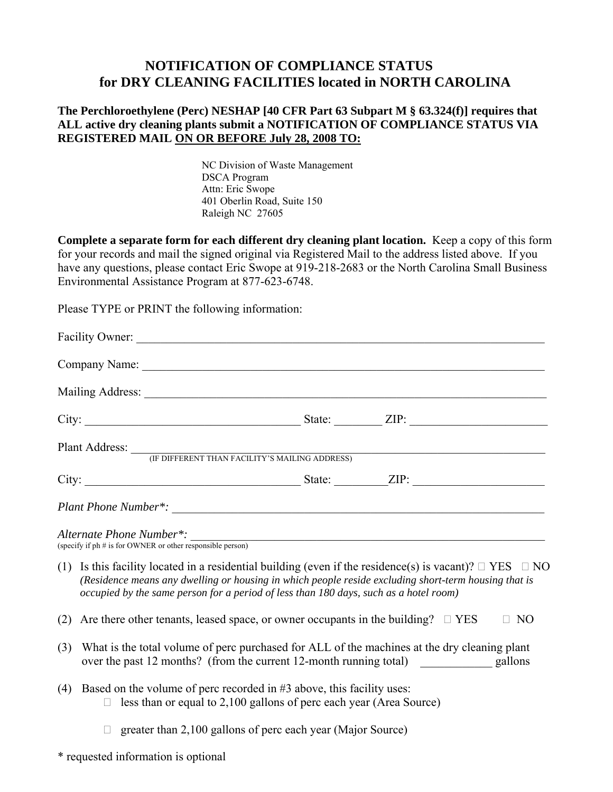## **NOTIFICATION OF COMPLIANCE STATUS for DRY CLEANING FACILITIES located in NORTH CAROLINA**

## **The Perchloroethylene (Perc) NESHAP [40 CFR Part 63 Subpart M § 63.324(f)] requires that ALL active dry cleaning plants submit a NOTIFICATION OF COMPLIANCE STATUS VIA REGISTERED MAIL ON OR BEFORE July 28, 2008 TO:**

NC Division of Waste Management DSCA Program Attn: Eric Swope 401 Oberlin Road, Suite 150 Raleigh NC 27605

**Complete a separate form for each different dry cleaning plant location.** Keep a copy of this form for your records and mail the signed original via Registered Mail to the address listed above. If you have any questions, please contact Eric Swope at 919-218-2683 or the North Carolina Small Business Environmental Assistance Program at 877-623-6748.

Please TYPE or PRINT the following information:

| Plant Address: <i>(IF DIFFERENT THAN FACILITY'S MAILING ADDRESS)</i>                                                                                                                                                                                                                                               |                                                                                                                                                                            |  |  |
|--------------------------------------------------------------------------------------------------------------------------------------------------------------------------------------------------------------------------------------------------------------------------------------------------------------------|----------------------------------------------------------------------------------------------------------------------------------------------------------------------------|--|--|
|                                                                                                                                                                                                                                                                                                                    |                                                                                                                                                                            |  |  |
|                                                                                                                                                                                                                                                                                                                    |                                                                                                                                                                            |  |  |
|                                                                                                                                                                                                                                                                                                                    | Alternate Phone Number*: $\frac{1}{\text{``s}}$ (specify if ph # is for OWNER or other responsible person)                                                                 |  |  |
| (1) Is this facility located in a residential building (even if the residence(s) is vacant)? $\Box$ YES $\Box$ NO<br>(Residence means any dwelling or housing in which people reside excluding short-term housing that is<br>occupied by the same person for a period of less than 180 days, such as a hotel room) |                                                                                                                                                                            |  |  |
| (2)                                                                                                                                                                                                                                                                                                                | Are there other tenants, leased space, or owner occupants in the building? $\square$ YES<br>$\Box$ NO                                                                      |  |  |
| (3)                                                                                                                                                                                                                                                                                                                | What is the total volume of perc purchased for ALL of the machines at the dry cleaning plant<br>over the past 12 months? (from the current 12-month running total) gallons |  |  |
| (4)                                                                                                                                                                                                                                                                                                                | Based on the volume of perc recorded in #3 above, this facility uses:<br>less than or equal to 2,100 gallons of perc each year (Area Source)                               |  |  |
|                                                                                                                                                                                                                                                                                                                    | greater than 2,100 gallons of perc each year (Major Source)                                                                                                                |  |  |

\* requested information is optional